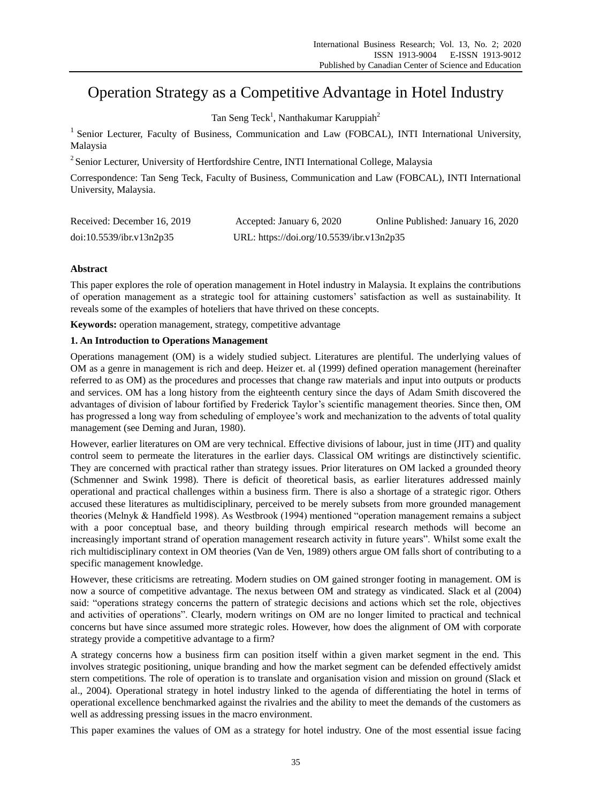# Operation Strategy as a Competitive Advantage in Hotel Industry

Tan Seng Teck<sup>1</sup>, Nanthakumar Karuppiah<sup>2</sup>

<sup>1</sup> Senior Lecturer, Faculty of Business, Communication and Law (FOBCAL), INTI International University, Malaysia

<sup>2</sup> Senior Lecturer, University of Hertfordshire Centre, INTI International College, Malaysia

Correspondence: Tan Seng Teck, Faculty of Business, Communication and Law (FOBCAL), INTI International University, Malaysia.

| Received: December 16, 2019 | Accepted: January 6, 2020                 | Online Published: January 16, 2020 |
|-----------------------------|-------------------------------------------|------------------------------------|
| doi:10.5539/ibr.v13n2p35    | URL: https://doi.org/10.5539/ibr.v13n2p35 |                                    |

# **Abstract**

This paper explores the role of operation management in Hotel industry in Malaysia. It explains the contributions of operation management as a strategic tool for attaining customers' satisfaction as well as sustainability. It reveals some of the examples of hoteliers that have thrived on these concepts.

**Keywords:** operation management, strategy, competitive advantage

## **1. An Introduction to Operations Management**

Operations management (OM) is a widely studied subject. Literatures are plentiful. The underlying values of OM as a genre in management is rich and deep. Heizer et. al (1999) defined operation management (hereinafter referred to as OM) as the procedures and processes that change raw materials and input into outputs or products and services. OM has a long history from the eighteenth century since the days of Adam Smith discovered the advantages of division of labour fortified by Frederick Taylor's scientific management theories. Since then, OM has progressed a long way from scheduling of employee's work and mechanization to the advents of total quality management (see Deming and Juran, 1980).

However, earlier literatures on OM are very technical. Effective divisions of labour, just in time (JIT) and quality control seem to permeate the literatures in the earlier days. Classical OM writings are distinctively scientific. They are concerned with practical rather than strategy issues. Prior literatures on OM lacked a grounded theory (Schmenner and Swink 1998). There is deficit of theoretical basis, as earlier literatures addressed mainly operational and practical challenges within a business firm. There is also a shortage of a strategic rigor. Others accused these literatures as multidisciplinary, perceived to be merely subsets from more grounded management theories (Melnyk & Handfield 1998). As Westbrook (1994) mentioned "operation management remains a subject with a poor conceptual base, and theory building through empirical research methods will become an increasingly important strand of operation management research activity in future years". Whilst some exalt the rich multidisciplinary context in OM theories (Van de Ven, 1989) others argue OM falls short of contributing to a specific management knowledge.

However, these criticisms are retreating. Modern studies on OM gained stronger footing in management. OM is now a source of competitive advantage. The nexus between OM and strategy as vindicated. Slack et al (2004) said: "operations strategy concerns the pattern of strategic decisions and actions which set the role, objectives and activities of operations". Clearly, modern writings on OM are no longer limited to practical and technical concerns but have since assumed more strategic roles. However, how does the alignment of OM with corporate strategy provide a competitive advantage to a firm?

A strategy concerns how a business firm can position itself within a given market segment in the end. This involves strategic positioning, unique branding and how the market segment can be defended effectively amidst stern competitions. The role of operation is to translate and organisation vision and mission on ground (Slack et al., 2004). Operational strategy in hotel industry linked to the agenda of differentiating the hotel in terms of operational excellence benchmarked against the rivalries and the ability to meet the demands of the customers as well as addressing pressing issues in the macro environment.

This paper examines the values of OM as a strategy for hotel industry. One of the most essential issue facing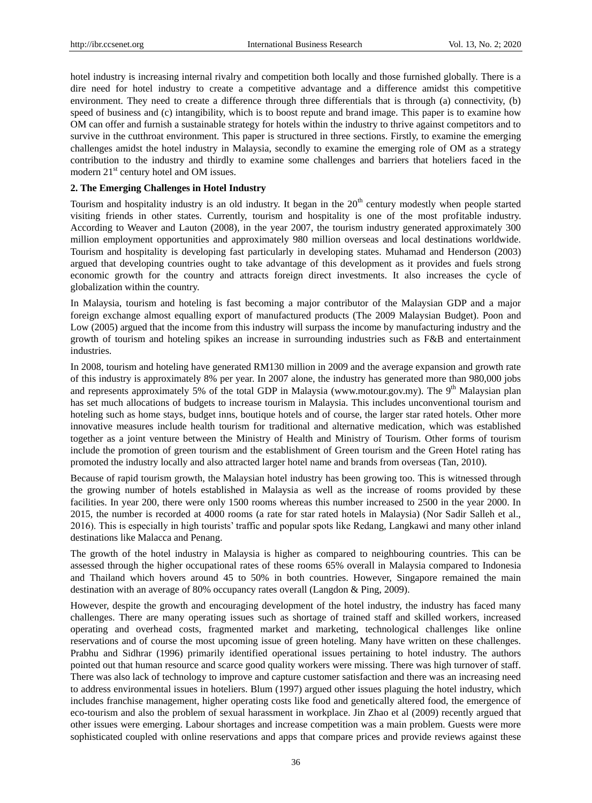hotel industry is increasing internal rivalry and competition both locally and those furnished globally. There is a dire need for hotel industry to create a competitive advantage and a difference amidst this competitive environment. They need to create a difference through three differentials that is through (a) connectivity, (b) speed of business and (c) intangibility, which is to boost repute and brand image. This paper is to examine how OM can offer and furnish a sustainable strategy for hotels within the industry to thrive against competitors and to survive in the cutthroat environment. This paper is structured in three sections. Firstly, to examine the emerging challenges amidst the hotel industry in Malaysia, secondly to examine the emerging role of OM as a strategy contribution to the industry and thirdly to examine some challenges and barriers that hoteliers faced in the modern 21<sup>st</sup> century hotel and OM issues.

## **2. The Emerging Challenges in Hotel Industry**

Tourism and hospitality industry is an old industry. It began in the 20<sup>th</sup> century modestly when people started visiting friends in other states. Currently, tourism and hospitality is one of the most profitable industry. According to Weaver and Lauton (2008), in the year 2007, the tourism industry generated approximately 300 million employment opportunities and approximately 980 million overseas and local destinations worldwide. Tourism and hospitality is developing fast particularly in developing states. Muhamad and Henderson (2003) argued that developing countries ought to take advantage of this development as it provides and fuels strong economic growth for the country and attracts foreign direct investments. It also increases the cycle of globalization within the country.

In Malaysia, tourism and hoteling is fast becoming a major contributor of the Malaysian GDP and a major foreign exchange almost equalling export of manufactured products (The 2009 Malaysian Budget). Poon and Low (2005) argued that the income from this industry will surpass the income by manufacturing industry and the growth of tourism and hoteling spikes an increase in surrounding industries such as F&B and entertainment industries.

In 2008, tourism and hoteling have generated RM130 million in 2009 and the average expansion and growth rate of this industry is approximately 8% per year. In 2007 alone, the industry has generated more than 980,000 jobs and represents approximately 5% of the total GDP in Malaysia (www.motour.gov.my). The 9<sup>th</sup> Malaysian plan has set much allocations of budgets to increase tourism in Malaysia. This includes unconventional tourism and hoteling such as home stays, budget inns, boutique hotels and of course, the larger star rated hotels. Other more innovative measures include health tourism for traditional and alternative medication, which was established together as a joint venture between the Ministry of Health and Ministry of Tourism. Other forms of tourism include the promotion of green tourism and the establishment of Green tourism and the Green Hotel rating has promoted the industry locally and also attracted larger hotel name and brands from overseas (Tan, 2010).

Because of rapid tourism growth, the Malaysian hotel industry has been growing too. This is witnessed through the growing number of hotels established in Malaysia as well as the increase of rooms provided by these facilities. In year 200, there were only 1500 rooms whereas this number increased to 2500 in the year 2000. In 2015, the number is recorded at 4000 rooms (a rate for star rated hotels in Malaysia) (Nor Sadir Salleh et al., 2016). This is especially in high tourists' traffic and popular spots like Redang, Langkawi and many other inland destinations like Malacca and Penang.

The growth of the hotel industry in Malaysia is higher as compared to neighbouring countries. This can be assessed through the higher occupational rates of these rooms 65% overall in Malaysia compared to Indonesia and Thailand which hovers around 45 to 50% in both countries. However, Singapore remained the main destination with an average of 80% occupancy rates overall (Langdon & Ping, 2009).

However, despite the growth and encouraging development of the hotel industry, the industry has faced many challenges. There are many operating issues such as shortage of trained staff and skilled workers, increased operating and overhead costs, fragmented market and marketing, technological challenges like online reservations and of course the most upcoming issue of green hoteling. Many have written on these challenges. Prabhu and Sidhrar (1996) primarily identified operational issues pertaining to hotel industry. The authors pointed out that human resource and scarce good quality workers were missing. There was high turnover of staff. There was also lack of technology to improve and capture customer satisfaction and there was an increasing need to address environmental issues in hoteliers. Blum (1997) argued other issues plaguing the hotel industry, which includes franchise management, higher operating costs like food and genetically altered food, the emergence of eco-tourism and also the problem of sexual harassment in workplace. Jin Zhao et al (2009) recently argued that other issues were emerging. Labour shortages and increase competition was a main problem. Guests were more sophisticated coupled with online reservations and apps that compare prices and provide reviews against these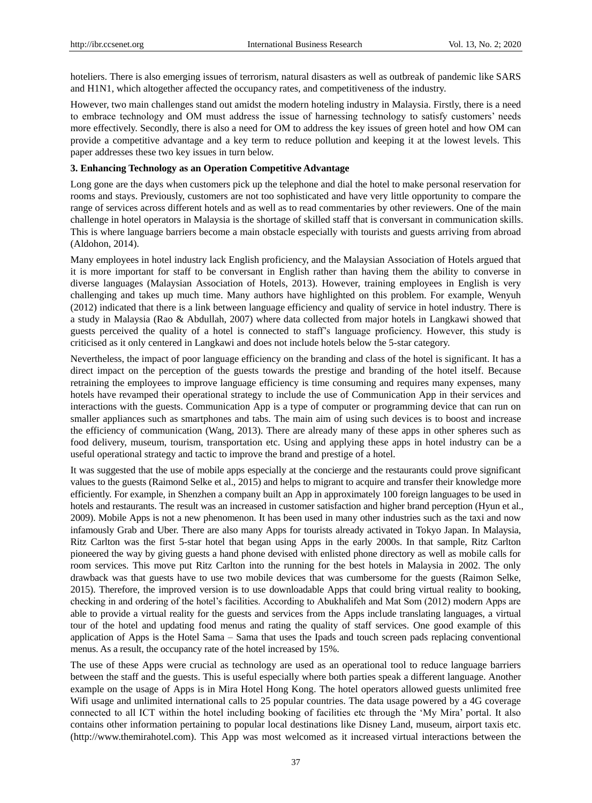hoteliers. There is also emerging issues of terrorism, natural disasters as well as outbreak of pandemic like SARS and H1N1, which altogether affected the occupancy rates, and competitiveness of the industry.

However, two main challenges stand out amidst the modern hoteling industry in Malaysia. Firstly, there is a need to embrace technology and OM must address the issue of harnessing technology to satisfy customers' needs more effectively. Secondly, there is also a need for OM to address the key issues of green hotel and how OM can provide a competitive advantage and a key term to reduce pollution and keeping it at the lowest levels. This paper addresses these two key issues in turn below.

## **3. Enhancing Technology as an Operation Competitive Advantage**

Long gone are the days when customers pick up the telephone and dial the hotel to make personal reservation for rooms and stays. Previously, customers are not too sophisticated and have very little opportunity to compare the range of services across different hotels and as well as to read commentaries by other reviewers. One of the main challenge in hotel operators in Malaysia is the shortage of skilled staff that is conversant in communication skills. This is where language barriers become a main obstacle especially with tourists and guests arriving from abroad (Aldohon, 2014).

Many employees in hotel industry lack English proficiency, and the Malaysian Association of Hotels argued that it is more important for staff to be conversant in English rather than having them the ability to converse in diverse languages (Malaysian Association of Hotels, 2013). However, training employees in English is very challenging and takes up much time. Many authors have highlighted on this problem. For example, Wenyuh (2012) indicated that there is a link between language efficiency and quality of service in hotel industry. There is a study in Malaysia (Rao & Abdullah, 2007) where data collected from major hotels in Langkawi showed that guests perceived the quality of a hotel is connected to staff's language proficiency. However, this study is criticised as it only centered in Langkawi and does not include hotels below the 5-star category.

Nevertheless, the impact of poor language efficiency on the branding and class of the hotel is significant. It has a direct impact on the perception of the guests towards the prestige and branding of the hotel itself. Because retraining the employees to improve language efficiency is time consuming and requires many expenses, many hotels have revamped their operational strategy to include the use of Communication App in their services and interactions with the guests. Communication App is a type of computer or programming device that can run on smaller appliances such as smartphones and tabs. The main aim of using such devices is to boost and increase the efficiency of communication (Wang, 2013). There are already many of these apps in other spheres such as food delivery, museum, tourism, transportation etc. Using and applying these apps in hotel industry can be a useful operational strategy and tactic to improve the brand and prestige of a hotel.

It was suggested that the use of mobile apps especially at the concierge and the restaurants could prove significant values to the guests (Raimond Selke et al., 2015) and helps to migrant to acquire and transfer their knowledge more efficiently. For example, in Shenzhen a company built an App in approximately 100 foreign languages to be used in hotels and restaurants. The result was an increased in customer satisfaction and higher brand perception (Hyun et al., 2009). Mobile Apps is not a new phenomenon. It has been used in many other industries such as the taxi and now infamously Grab and Uber. There are also many Apps for tourists already activated in Tokyo Japan. In Malaysia, Ritz Carlton was the first 5-star hotel that began using Apps in the early 2000s. In that sample, Ritz Carlton pioneered the way by giving guests a hand phone devised with enlisted phone directory as well as mobile calls for room services. This move put Ritz Carlton into the running for the best hotels in Malaysia in 2002. The only drawback was that guests have to use two mobile devices that was cumbersome for the guests (Raimon Selke, 2015). Therefore, the improved version is to use downloadable Apps that could bring virtual reality to booking, checking in and ordering of the hotel's facilities. According to Abukhalifeh and Mat Som (2012) modern Apps are able to provide a virtual reality for the guests and services from the Apps include translating languages, a virtual tour of the hotel and updating food menus and rating the quality of staff services. One good example of this application of Apps is the Hotel Sama – Sama that uses the Ipads and touch screen pads replacing conventional menus. As a result, the occupancy rate of the hotel increased by 15%.

The use of these Apps were crucial as technology are used as an operational tool to reduce language barriers between the staff and the guests. This is useful especially where both parties speak a different language. Another example on the usage of Apps is in Mira Hotel Hong Kong. The hotel operators allowed guests unlimited free Wifi usage and unlimited international calls to 25 popular countries. The data usage powered by a 4G coverage connected to all ICT within the hotel including booking of facilities etc through the 'My Mira' portal. It also contains other information pertaining to popular local destinations like Disney Land, museum, airport taxis etc. [\(http://www.themirahotel.com\)](http://www.themirahotel.com/). This App was most welcomed as it increased virtual interactions between the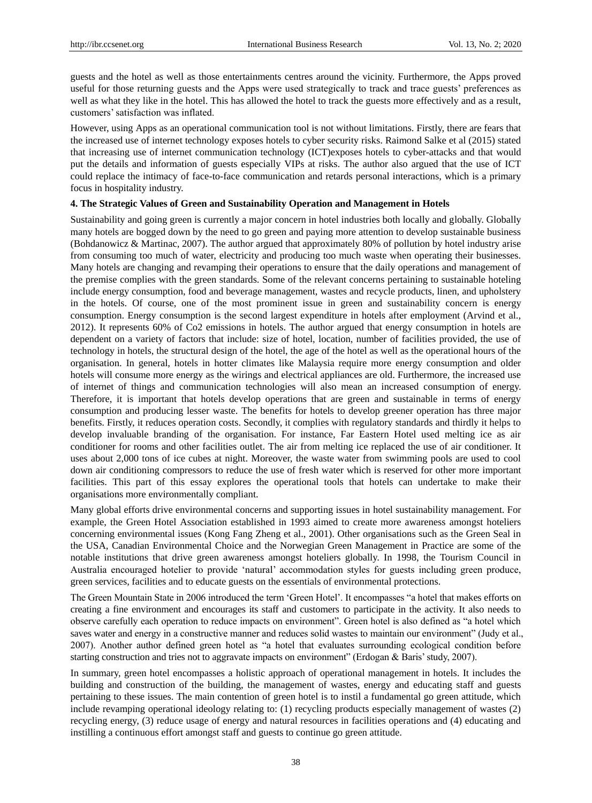guests and the hotel as well as those entertainments centres around the vicinity. Furthermore, the Apps proved useful for those returning guests and the Apps were used strategically to track and trace guests' preferences as well as what they like in the hotel. This has allowed the hotel to track the guests more effectively and as a result, customers' satisfaction was inflated.

However, using Apps as an operational communication tool is not without limitations. Firstly, there are fears that the increased use of internet technology exposes hotels to cyber security risks. Raimond Salke et al (2015) stated that increasing use of internet communication technology (ICT)exposes hotels to cyber-attacks and that would put the details and information of guests especially VIPs at risks. The author also argued that the use of ICT could replace the intimacy of face-to-face communication and retards personal interactions, which is a primary focus in hospitality industry.

## **4. The Strategic Values of Green and Sustainability Operation and Management in Hotels**

Sustainability and going green is currently a major concern in hotel industries both locally and globally. Globally many hotels are bogged down by the need to go green and paying more attention to develop sustainable business (Bohdanowicz & Martinac, 2007). The author argued that approximately 80% of pollution by hotel industry arise from consuming too much of water, electricity and producing too much waste when operating their businesses. Many hotels are changing and revamping their operations to ensure that the daily operations and management of the premise complies with the green standards. Some of the relevant concerns pertaining to sustainable hoteling include energy consumption, food and beverage management, wastes and recycle products, linen, and upholstery in the hotels. Of course, one of the most prominent issue in green and sustainability concern is energy consumption. Energy consumption is the second largest expenditure in hotels after employment (Arvind et al., 2012). It represents 60% of Co2 emissions in hotels. The author argued that energy consumption in hotels are dependent on a variety of factors that include: size of hotel, location, number of facilities provided, the use of technology in hotels, the structural design of the hotel, the age of the hotel as well as the operational hours of the organisation. In general, hotels in hotter climates like Malaysia require more energy consumption and older hotels will consume more energy as the wirings and electrical appliances are old. Furthermore, the increased use of internet of things and communication technologies will also mean an increased consumption of energy. Therefore, it is important that hotels develop operations that are green and sustainable in terms of energy consumption and producing lesser waste. The benefits for hotels to develop greener operation has three major benefits. Firstly, it reduces operation costs. Secondly, it complies with regulatory standards and thirdly it helps to develop invaluable branding of the organisation. For instance, Far Eastern Hotel used melting ice as air conditioner for rooms and other facilities outlet. The air from melting ice replaced the use of air conditioner. It uses about 2,000 tons of ice cubes at night. Moreover, the waste water from swimming pools are used to cool down air conditioning compressors to reduce the use of fresh water which is reserved for other more important facilities. This part of this essay explores the operational tools that hotels can undertake to make their organisations more environmentally compliant.

Many global efforts drive environmental concerns and supporting issues in hotel sustainability management. For example, the Green Hotel Association established in 1993 aimed to create more awareness amongst hoteliers concerning environmental issues (Kong Fang Zheng et al., 2001). Other organisations such as the Green Seal in the USA, Canadian Environmental Choice and the Norwegian Green Management in Practice are some of the notable institutions that drive green awareness amongst hoteliers globally. In 1998, the Tourism Council in Australia encouraged hotelier to provide 'natural' accommodation styles for guests including green produce, green services, facilities and to educate guests on the essentials of environmental protections.

The Green Mountain State in 2006 introduced the term 'Green Hotel'. It encompasses "a hotel that makes efforts on creating a fine environment and encourages its staff and customers to participate in the activity. It also needs to observe carefully each operation to reduce impacts on environment". Green hotel is also defined as "a hotel which saves water and energy in a constructive manner and reduces solid wastes to maintain our environment" (Judy et al., 2007). Another author defined green hotel as "a hotel that evaluates surrounding ecological condition before starting construction and tries not to aggravate impacts on environment" (Erdogan & Baris' study, 2007).

In summary, green hotel encompasses a holistic approach of operational management in hotels. It includes the building and construction of the building, the management of wastes, energy and educating staff and guests pertaining to these issues. The main contention of green hotel is to instil a fundamental go green attitude, which include revamping operational ideology relating to: (1) recycling products especially management of wastes (2) recycling energy, (3) reduce usage of energy and natural resources in facilities operations and (4) educating and instilling a continuous effort amongst staff and guests to continue go green attitude.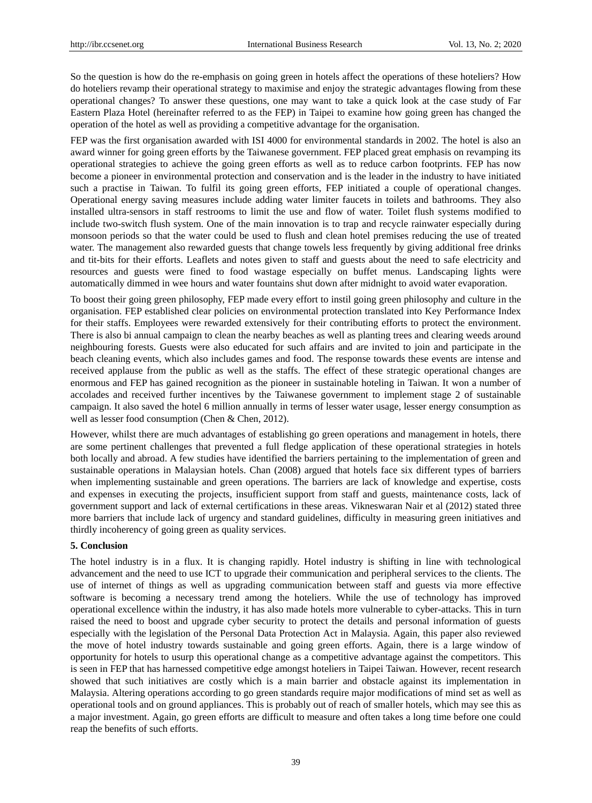So the question is how do the re-emphasis on going green in hotels affect the operations of these hoteliers? How do hoteliers revamp their operational strategy to maximise and enjoy the strategic advantages flowing from these operational changes? To answer these questions, one may want to take a quick look at the case study of Far Eastern Plaza Hotel (hereinafter referred to as the FEP) in Taipei to examine how going green has changed the operation of the hotel as well as providing a competitive advantage for the organisation.

FEP was the first organisation awarded with ISI 4000 for environmental standards in 2002. The hotel is also an award winner for going green efforts by the Taiwanese government. FEP placed great emphasis on revamping its operational strategies to achieve the going green efforts as well as to reduce carbon footprints. FEP has now become a pioneer in environmental protection and conservation and is the leader in the industry to have initiated such a practise in Taiwan. To fulfil its going green efforts, FEP initiated a couple of operational changes. Operational energy saving measures include adding water limiter faucets in toilets and bathrooms. They also installed ultra-sensors in staff restrooms to limit the use and flow of water. Toilet flush systems modified to include two-switch flush system. One of the main innovation is to trap and recycle rainwater especially during monsoon periods so that the water could be used to flush and clean hotel premises reducing the use of treated water. The management also rewarded guests that change towels less frequently by giving additional free drinks and tit-bits for their efforts. Leaflets and notes given to staff and guests about the need to safe electricity and resources and guests were fined to food wastage especially on buffet menus. Landscaping lights were automatically dimmed in wee hours and water fountains shut down after midnight to avoid water evaporation.

To boost their going green philosophy, FEP made every effort to instil going green philosophy and culture in the organisation. FEP established clear policies on environmental protection translated into Key Performance Index for their staffs. Employees were rewarded extensively for their contributing efforts to protect the environment. There is also bi annual campaign to clean the nearby beaches as well as planting trees and clearing weeds around neighbouring forests. Guests were also educated for such affairs and are invited to join and participate in the beach cleaning events, which also includes games and food. The response towards these events are intense and received applause from the public as well as the staffs. The effect of these strategic operational changes are enormous and FEP has gained recognition as the pioneer in sustainable hoteling in Taiwan. It won a number of accolades and received further incentives by the Taiwanese government to implement stage 2 of sustainable campaign. It also saved the hotel 6 million annually in terms of lesser water usage, lesser energy consumption as well as lesser food consumption (Chen & Chen, 2012).

However, whilst there are much advantages of establishing go green operations and management in hotels, there are some pertinent challenges that prevented a full fledge application of these operational strategies in hotels both locally and abroad. A few studies have identified the barriers pertaining to the implementation of green and sustainable operations in Malaysian hotels. Chan (2008) argued that hotels face six different types of barriers when implementing sustainable and green operations. The barriers are lack of knowledge and expertise, costs and expenses in executing the projects, insufficient support from staff and guests, maintenance costs, lack of government support and lack of external certifications in these areas. Vikneswaran Nair et al (2012) stated three more barriers that include lack of urgency and standard guidelines, difficulty in measuring green initiatives and thirdly incoherency of going green as quality services.

#### **5. Conclusion**

The hotel industry is in a flux. It is changing rapidly. Hotel industry is shifting in line with technological advancement and the need to use ICT to upgrade their communication and peripheral services to the clients. The use of internet of things as well as upgrading communication between staff and guests via more effective software is becoming a necessary trend among the hoteliers. While the use of technology has improved operational excellence within the industry, it has also made hotels more vulnerable to cyber-attacks. This in turn raised the need to boost and upgrade cyber security to protect the details and personal information of guests especially with the legislation of the Personal Data Protection Act in Malaysia. Again, this paper also reviewed the move of hotel industry towards sustainable and going green efforts. Again, there is a large window of opportunity for hotels to usurp this operational change as a competitive advantage against the competitors. This is seen in FEP that has harnessed competitive edge amongst hoteliers in Taipei Taiwan. However, recent research showed that such initiatives are costly which is a main barrier and obstacle against its implementation in Malaysia. Altering operations according to go green standards require major modifications of mind set as well as operational tools and on ground appliances. This is probably out of reach of smaller hotels, which may see this as a major investment. Again, go green efforts are difficult to measure and often takes a long time before one could reap the benefits of such efforts.